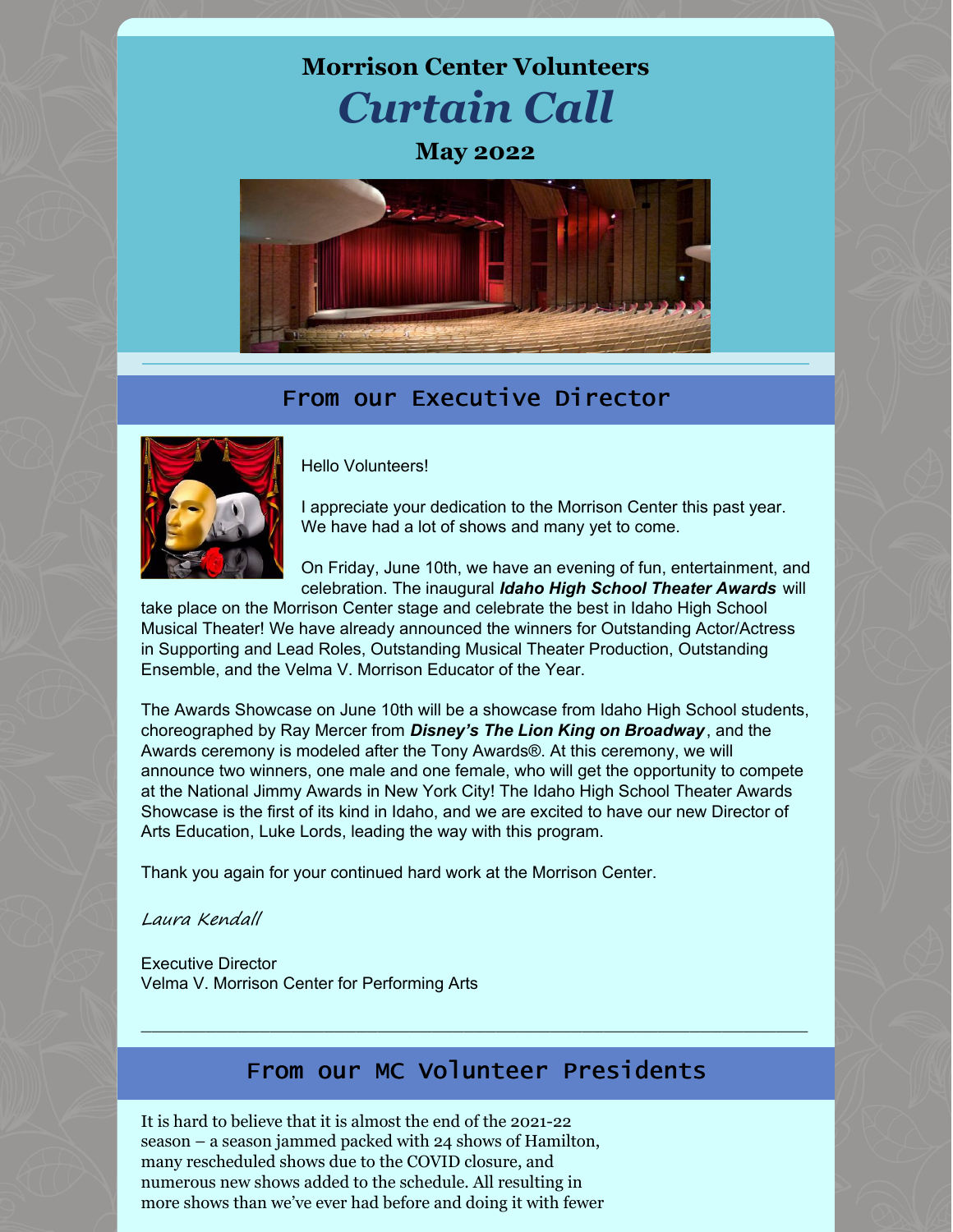



## From our Executive Director



Hello Volunteers!

I appreciate your dedication to the Morrison Center this past year. We have had a lot of shows and many yet to come.

On Friday, June 10th, we have an evening of fun, entertainment, and celebration. The inaugural *Idaho High School Theater Awards* will

take place on the Morrison Center stage and celebrate the best in Idaho High School Musical Theater! We have already announced the winners for Outstanding Actor/Actress in Supporting and Lead Roles, Outstanding Musical Theater Production, Outstanding Ensemble, and the Velma V. Morrison Educator of the Year.

The Awards Showcase on June 10th will be a showcase from Idaho High School students, choreographed by Ray Mercer from *Disney's The Lion King on Broadway*, and the Awards ceremony is modeled after the Tony Awards®. At this ceremony, we will announce two winners, one male and one female, who will get the opportunity to compete at the National Jimmy Awards in New York City! The Idaho High School Theater Awards Showcase is the first of its kind in Idaho, and we are excited to have our new Director of Arts Education, Luke Lords, leading the way with this program.

Thank you again for your continued hard work at the Morrison Center.

Laura Kendall

Executive Director Velma V. Morrison Center for Performing Arts

## From our MC Volunteer Presidents

 $\_$  , and the set of the set of the set of the set of the set of the set of the set of the set of the set of the set of the set of the set of the set of the set of the set of the set of the set of the set of the set of th

It is hard to believe that it is almost the end of the 2021-22 season – a season jammed packed with 24 shows of Hamilton, many rescheduled shows due to the COVID closure, and numerous new shows added to the schedule. All resulting in more shows than we've ever had before and doing it with fewer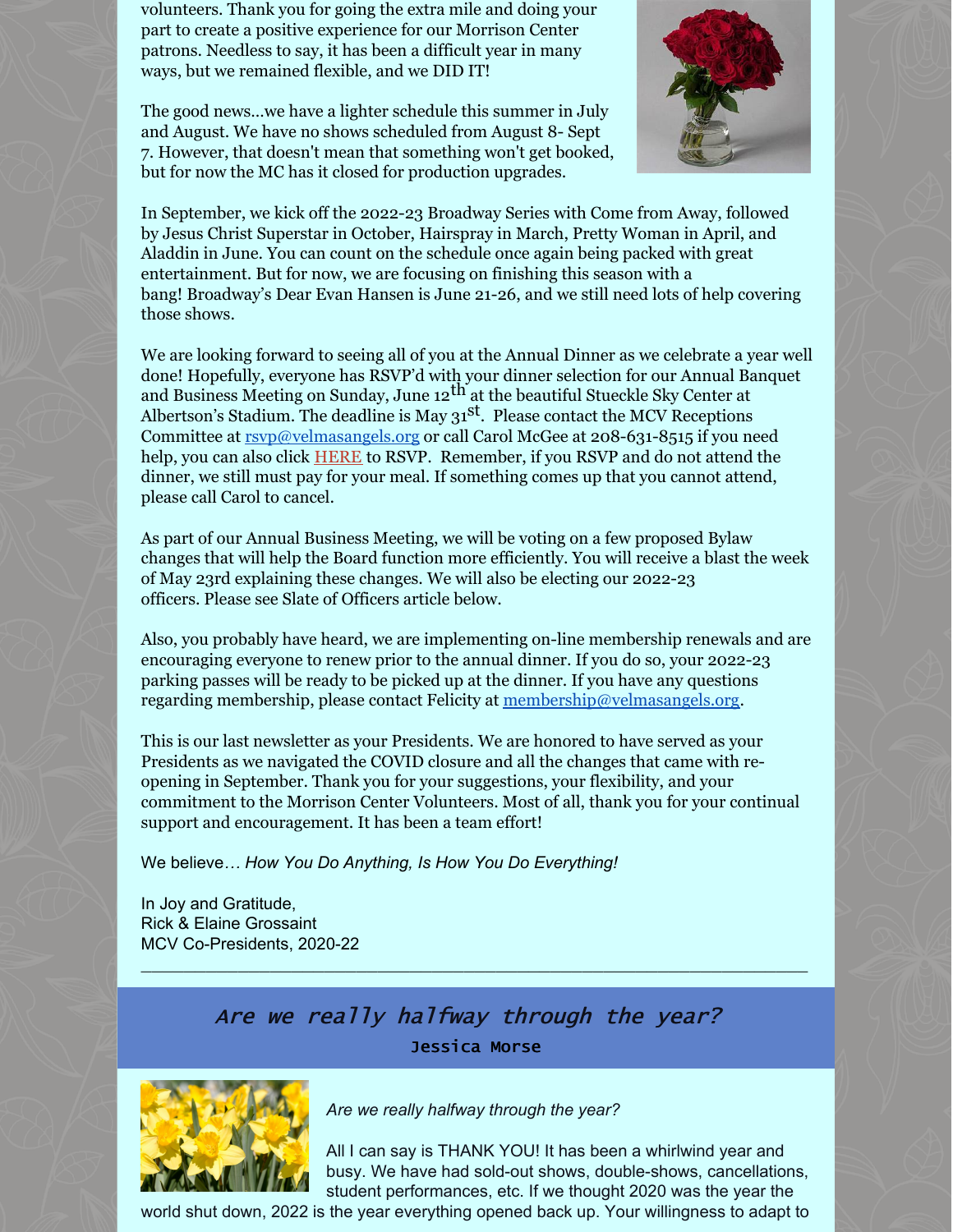volunteers. Thank you for going the extra mile and doing your part to create a positive experience for our Morrison Center patrons. Needless to say, it has been a difficult year in many ways, but we remained flexible, and we DID IT!

The good news…we have a lighter schedule this summer in July and August. We have no shows scheduled from August 8- Sept 7. However, that doesn't mean that something won't get booked, but for now the MC has it closed for production upgrades.



In September, we kick off the 2022-23 Broadway Series with Come from Away, followed by Jesus Christ Superstar in October, Hairspray in March, Pretty Woman in April, and Aladdin in June. You can count on the schedule once again being packed with great entertainment. But for now, we are focusing on finishing this season with a bang! Broadway's Dear Evan Hansen is June 21-26, and we still need lots of help covering those shows.

We are looking forward to seeing all of you at the Annual Dinner as we celebrate a year well done! Hopefully, everyone has RSVP'd with your dinner selection for our Annual Banquet and Business Meeting on Sunday, June 12<sup>th</sup> at the beautiful Stueckle Sky Center at Albertson's Stadium. The deadline is May  $31<sup>st</sup>$ . Please contact the MCV Receptions Committee at [rsvp@velmasangels.org](mailto:rsvp@velmasangels.org) or call Carol McGee at 208-631-8515 if you need help, you can also click [HERE](http://events.constantcontact.com/register/event?llr=q64sj8wab&oeidk=a07ej5qw6fq4335aa80) to RSVP. Remember, if you RSVP and do not attend the dinner, we still must pay for your meal. If something comes up that you cannot attend, please call Carol to cancel.

As part of our Annual Business Meeting, we will be voting on a few proposed Bylaw changes that will help the Board function more efficiently. You will receive a blast the week of May 23rd explaining these changes. We will also be electing our 2022-23 officers. Please see Slate of Officers article below.

Also, you probably have heard, we are implementing on-line membership renewals and are encouraging everyone to renew prior to the annual dinner. If you do so, your 2022-23 parking passes will be ready to be picked up at the dinner. If you have any questions regarding membership, please contact Felicity at [membership@velmasangels.org](mailto:membership@velmasangels.org).

This is our last newsletter as your Presidents. We are honored to have served as your Presidents as we navigated the COVID closure and all the changes that came with reopening in September. Thank you for your suggestions, your flexibility, and your commitment to the Morrison Center Volunteers. Most of all, thank you for your continual support and encouragement. It has been a team effort!

We believe*… How You Do Anything, Is How You Do Everything!*

In Joy and Gratitude, Rick & Elaine Grossaint MCV Co-Presidents, 2020-22

## Are we really halfway through the year? Jessica Morse

\_\_\_\_\_\_\_\_\_\_\_\_\_\_\_\_\_\_\_\_\_\_\_\_\_\_\_\_\_\_\_\_\_\_\_\_\_\_\_\_\_\_\_\_\_\_\_\_\_\_\_\_\_\_\_\_\_\_\_\_\_\_



*Are we really halfway through the year?*

All I can say is THANK YOU! It has been a whirlwind year and busy. We have had sold-out shows, double-shows, cancellations, student performances, etc. If we thought 2020 was the year the

world shut down, 2022 is the year everything opened back up. Your willingness to adapt to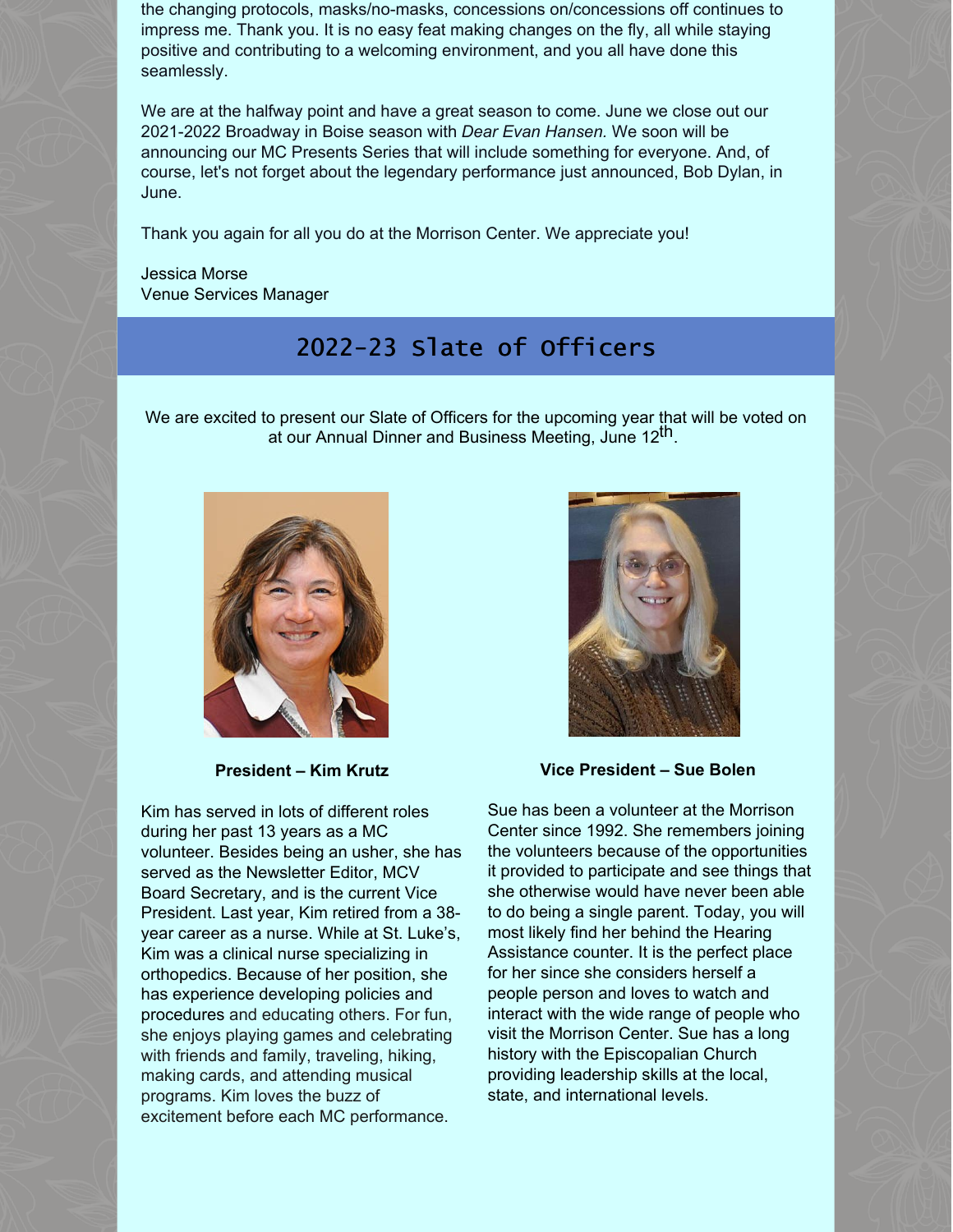the changing protocols, masks/no-masks, concessions on/concessions off continues to impress me. Thank you. It is no easy feat making changes on the fly, all while staying positive and contributing to a welcoming environment, and you all have done this seamlessly.

We are at the halfway point and have a great season to come. June we close out our 2021-2022 Broadway in Boise season with *Dear Evan Hansen.* We soon will be announcing our MC Presents Series that will include something for everyone. And, of course, let's not forget about the legendary performance just announced, Bob Dylan, in June.

Thank you again for all you do at the Morrison Center. We appreciate you!

Jessica Morse Venue Services Manager

# 2022-23 Slate of Officers

We are excited to present our Slate of Officers for the upcoming year that will be voted on at our Annual Dinner and Business Meeting, June 12<sup>th</sup>.



**President – Kim Krutz**

Kim has served in lots of different roles during her past 13 years as a MC volunteer. Besides being an usher, she has served as the Newsletter Editor, MCV Board Secretary, and is the current Vice President. Last year, Kim retired from a 38 year career as a nurse. While at St. Luke's, Kim was a clinical nurse specializing in orthopedics. Because of her position, she has experience developing policies and procedures and educating others. For fun, she enjoys playing games and celebrating with friends and family, traveling, hiking, making cards, and attending musical programs. Kim loves the buzz of excitement before each MC performance.



**Vice President – Sue Bolen**

Sue has been a volunteer at the Morrison Center since 1992. She remembers joining the volunteers because of the opportunities it provided to participate and see things that she otherwise would have never been able to do being a single parent. Today, you will most likely find her behind the Hearing Assistance counter. It is the perfect place for her since she considers herself a people person and loves to watch and interact with the wide range of people who visit the Morrison Center. Sue has a long history with the Episcopalian Church providing leadership skills at the local, state, and international levels.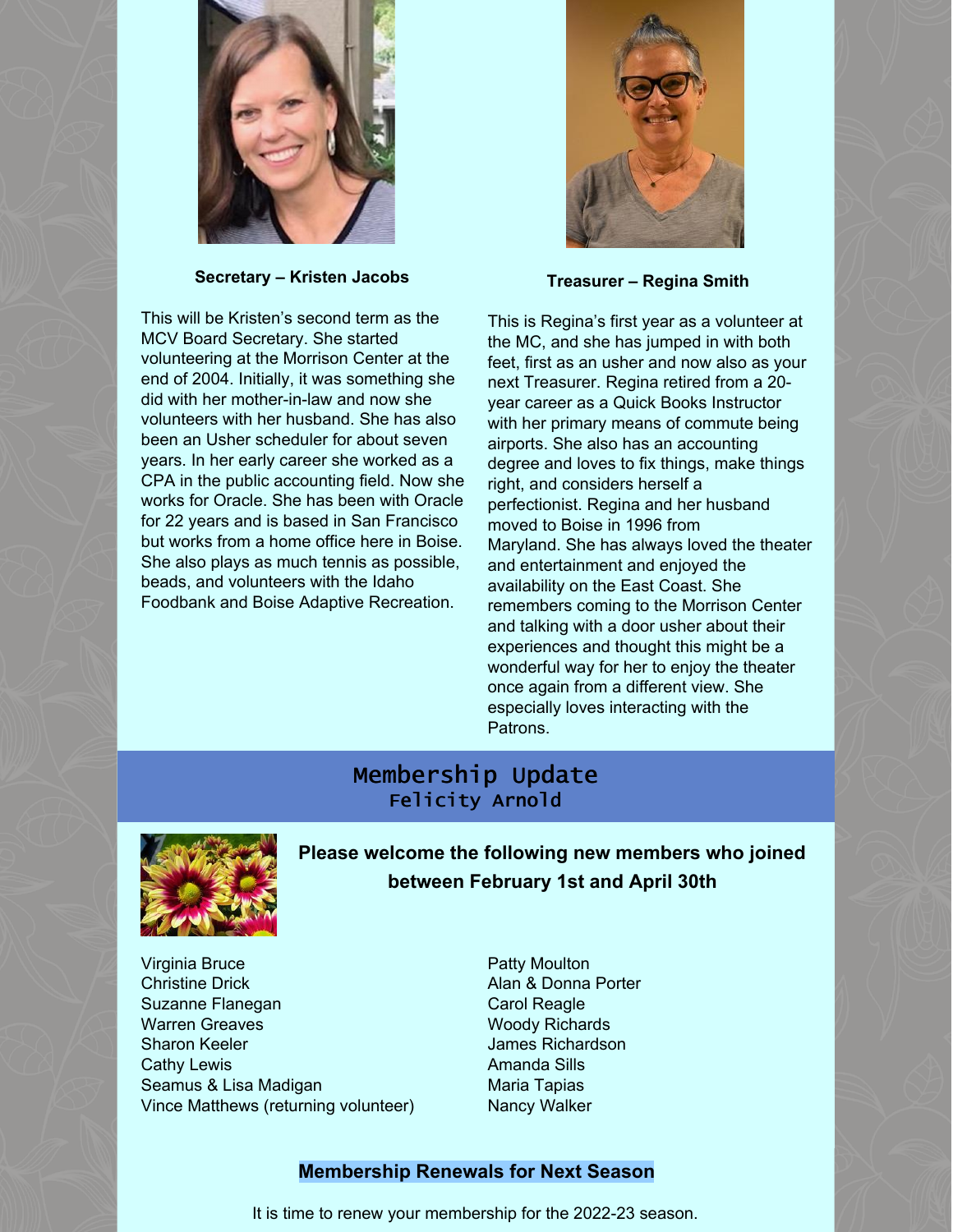

**Secretary – Kristen Jacobs**

This will be Kristen's second term as the MCV Board Secretary. She started volunteering at the Morrison Center at the end of 2004. Initially, it was something she did with her mother-in-law and now she volunteers with her husband. She has also been an Usher scheduler for about seven years. In her early career she worked as a CPA in the public accounting field. Now she works for Oracle. She has been with Oracle for 22 years and is based in San Francisco but works from a home office here in Boise. She also plays as much tennis as possible, beads, and volunteers with the Idaho Foodbank and Boise Adaptive Recreation.



**Treasurer – Regina Smith**

This is Regina's first year as a volunteer at the MC, and she has jumped in with both feet, first as an usher and now also as your next Treasurer. Regina retired from a 20 year career as a Quick Books Instructor with her primary means of commute being airports. She also has an accounting degree and loves to fix things, make things right, and considers herself a perfectionist. Regina and her husband moved to Boise in 1996 from Maryland. She has always loved the theater and entertainment and enjoyed the availability on the East Coast. She remembers coming to the Morrison Center and talking with a door usher about their experiences and thought this might be a wonderful way for her to enjoy the theater once again from a different view. She especially loves interacting with the Patrons.

#### Membership Update Felicity Arnold



**Please welcome the following new members who joined between February 1st and April 30th**

- Virginia Bruce Christine Drick Suzanne Flanegan Warren Greaves Sharon Keeler Cathy Lewis Seamus & Lisa Madigan Vince Matthews (returning volunteer)
- Patty Moulton Alan & Donna Porter Carol Reagle Woody Richards James Richardson Amanda Sills Maria Tapias Nancy Walker

#### **Membership Renewals for Next Season**

It is time to renew your membership for the 2022-23 season.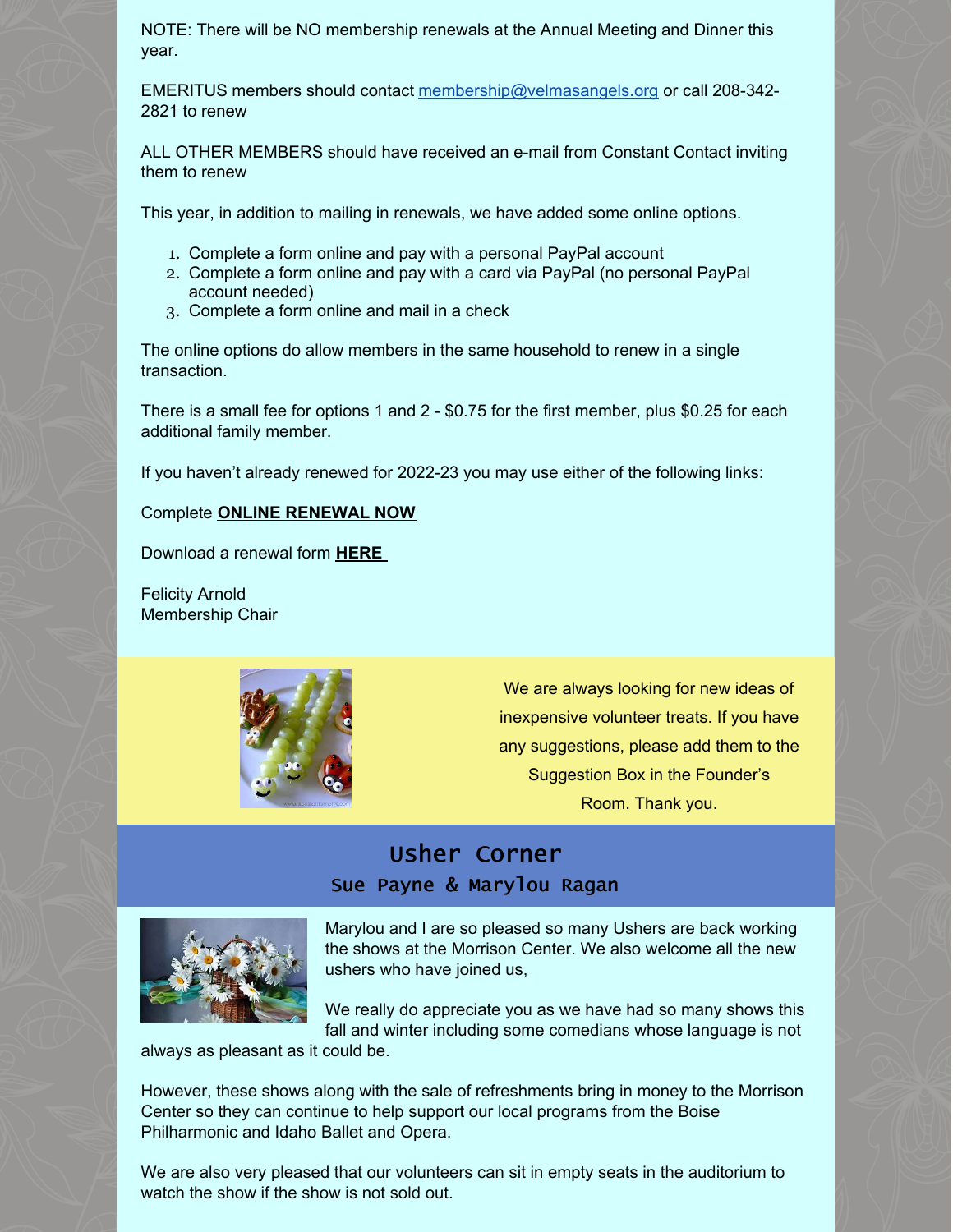NOTE: There will be NO membership renewals at the Annual Meeting and Dinner this year.

EMERITUS members should contact [membership@velmasangels.org](mailto:membership@velmasangels.org) or call 208-342- 2821 to renew

ALL OTHER MEMBERS should have received an e-mail from Constant Contact inviting them to renew

This year, in addition to mailing in renewals, we have added some online options.

- 1. Complete a form online and pay with a personal PayPal account
- 2. Complete a form online and pay with a card via PayPal (no personal PayPal account needed)
- 3. Complete a form online and mail in a check

The online options do allow members in the same household to renew in a single transaction.

There is a small fee for options 1 and 2 - \$0.75 for the first member, plus \$0.25 for each additional family member.

If you haven't already renewed for 2022-23 you may use either of the following links:

#### Complete **ONLINE [RENEWAL](http://events.constantcontact.com/register/event?llr=q64sj8wab&oeidk=a07ej2n5b2aacf6b105) NOW**

Download a renewal form **[HERE](https://files.constantcontact.com/0bf7996b501/9178568a-4a14-4aa0-b117-9364ac117057.pdf?rdr=true)**

Felicity Arnold Membership Chair



We are always looking for new ideas of inexpensive volunteer treats. If you have any suggestions, please add them to the Suggestion Box in the Founder's Room. Thank you.

### Usher Corner Sue Payne & Marylou Ragan



Marylou and I are so pleased so many Ushers are back working the shows at the Morrison Center. We also welcome all the new ushers who have joined us,

We really do appreciate you as we have had so many shows this fall and winter including some comedians whose language is not

always as pleasant as it could be.

However, these shows along with the sale of refreshments bring in money to the Morrison Center so they can continue to help support our local programs from the Boise Philharmonic and Idaho Ballet and Opera.

We are also very pleased that our volunteers can sit in empty seats in the auditorium to watch the show if the show is not sold out.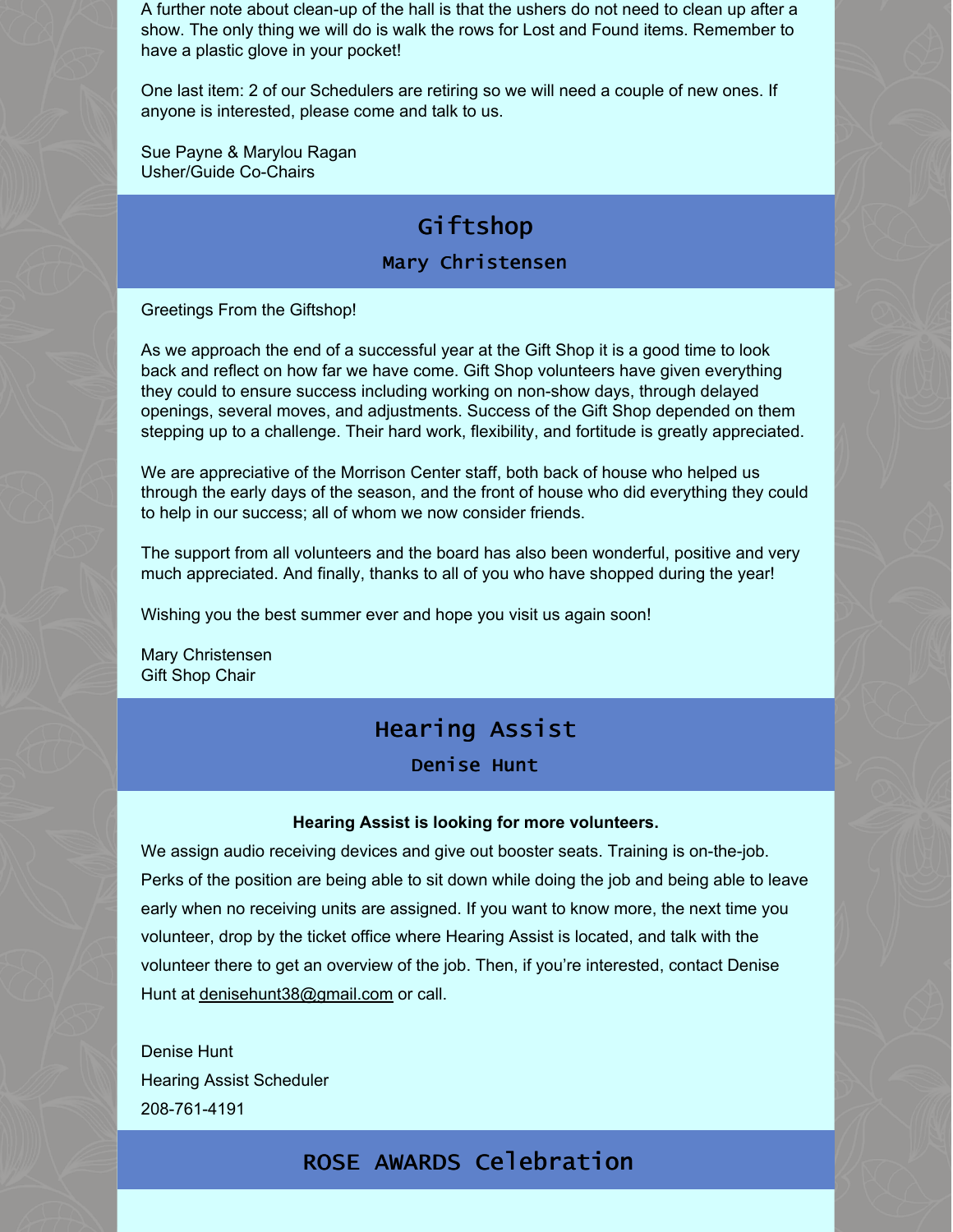A further note about clean-up of the hall is that the ushers do not need to clean up after a show. The only thing we will do is walk the rows for Lost and Found items. Remember to have a plastic glove in your pocket!

One last item: 2 of our Schedulers are retiring so we will need a couple of new ones. If anyone is interested, please come and talk to us.

Sue Payne & Marylou Ragan Usher/Guide Co-Chairs

# Giftshop

#### Mary Christensen

Greetings From the Giftshop!

As we approach the end of a successful year at the Gift Shop it is a good time to look back and reflect on how far we have come. Gift Shop volunteers have given everything they could to ensure success including working on non-show days, through delayed openings, several moves, and adjustments. Success of the Gift Shop depended on them stepping up to a challenge. Their hard work, flexibility, and fortitude is greatly appreciated.

We are appreciative of the Morrison Center staff, both back of house who helped us through the early days of the season, and the front of house who did everything they could to help in our success; all of whom we now consider friends.

The support from all volunteers and the board has also been wonderful, positive and very much appreciated. And finally, thanks to all of you who have shopped during the year!

Wishing you the best summer ever and hope you visit us again soon!

Mary Christensen Gift Shop Chair

## Hearing Assist

Denise Hunt

#### **Hearing Assist is looking for more volunteers.**

We assign audio receiving devices and give out booster seats. Training is on-the-job. Perks of the position are being able to sit down while doing the job and being able to leave early when no receiving units are assigned. If you want to know more, the next time you volunteer, drop by the ticket office where Hearing Assist is located, and talk with the volunteer there to get an overview of the job. Then, if you're interested, contact Denise Hunt at [denisehunt38@gmail.com](mailto:denisehunt38@gmail.com) or call.

Denise Hunt Hearing Assist Scheduler 208-761-4191

### ROSE AWARDS Celebration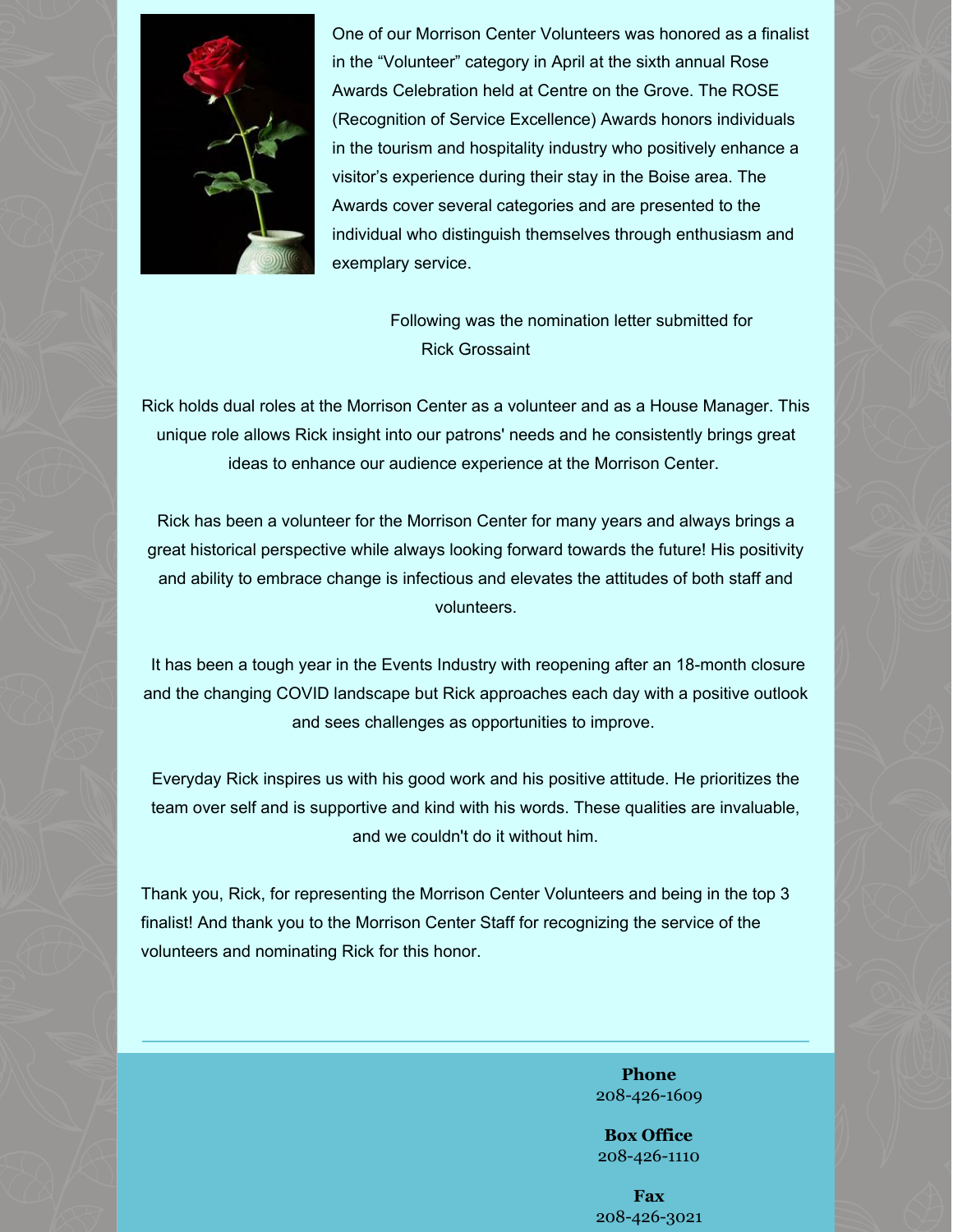

One of our Morrison Center Volunteers was honored as a finalist in the "Volunteer" category in April at the sixth annual Rose Awards Celebration held at Centre on the Grove. The ROSE (Recognition of Service Excellence) Awards honors individuals in the tourism and hospitality industry who positively enhance a visitor's experience during their stay in the Boise area. The Awards cover several categories and are presented to the individual who distinguish themselves through enthusiasm and exemplary service.

> Following was the nomination letter submitted for Rick Grossaint

Rick holds dual roles at the Morrison Center as a volunteer and as a House Manager. This unique role allows Rick insight into our patrons' needs and he consistently brings great ideas to enhance our audience experience at the Morrison Center.

Rick has been a volunteer for the Morrison Center for many years and always brings a great historical perspective while always looking forward towards the future! His positivity and ability to embrace change is infectious and elevates the attitudes of both staff and volunteers.

It has been a tough year in the Events Industry with reopening after an 18-month closure and the changing COVID landscape but Rick approaches each day with a positive outlook and sees challenges as opportunities to improve.

Everyday Rick inspires us with his good work and his positive attitude. He prioritizes the team over self and is supportive and kind with his words. These qualities are invaluable, and we couldn't do it without him.

Thank you, Rick, for representing the Morrison Center Volunteers and being in the top 3 finalist! And thank you to the Morrison Center Staff for recognizing the service of the volunteers and nominating Rick for this honor.

> **Phone** 208-426-1609

**Box Office** 208-426-1110

**Fax** 208-426-3021